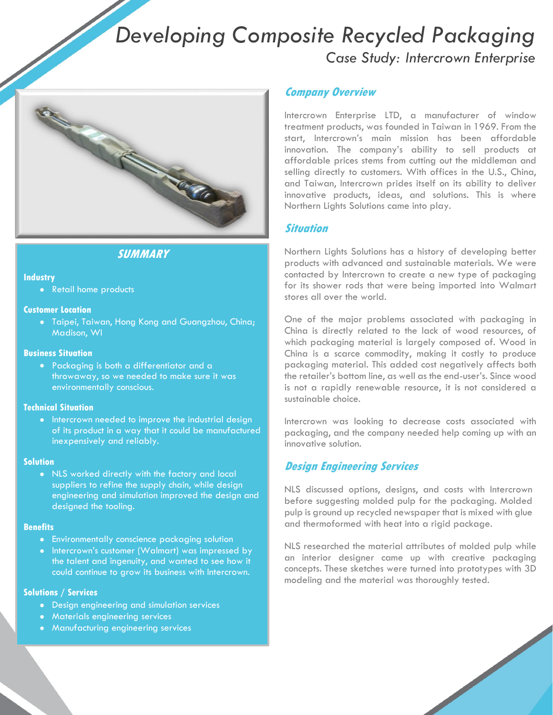# *Developing Composite Recycled Packaging Case Study: Intercrown Enterprise*



# **SUMMARY**

#### **Industry**

• Retail home products

#### **Customer Location**

 Taipei, Taiwan, Hong Kong and Guangzhou, China; Madison, WI

#### **Business Situation**

 Packaging is both a differentiator and a throwaway, so we needed to make sure it was environmentally conscious.

#### **Technical Situation**

• Intercrown needed to improve the industrial design of its product in a way that it could be manufactured inexpensively and reliably.

#### **Solution**

 NLS worked directly with the factory and local suppliers to refine the supply chain, while design engineering and simulation improved the design and designed the tooling.

#### **Benefits**

- Environmentally conscience packaging solution
- Intercrown's customer (Walmart) was impressed by the talent and ingenuity, and wanted to see how it could continue to grow its business with Intercrown.

#### **Solutions / Services**

- Design engineering and simulation services
- **•** Materials engineering services
- Manufacturing engineering services

## **Company Overview**

Intercrown Enterprise LTD, a manufacturer of window treatment products, was founded in Taiwan in 1969. From the start, Intercrown's main mission has been affordable innovation. The company's ability to sell products at affordable prices stems from cutting out the middleman and selling directly to customers. With offices in the U.S., China, and Taiwan, Intercrown prides itself on its ability to deliver innovative products, ideas, and solutions. This is where Northern Lights Solutions came into play.

### **Situation**

Northern Lights Solutions has a history of developing better products with advanced and sustainable materials. We were contacted by Intercrown to create a new type of packaging for its shower rods that were being imported into Walmart stores all over the world.

One of the major problems associated with packaging in China is directly related to the lack of wood resources, of which packaging material is largely composed of. Wood in China is a scarce commodity, making it costly to produce packaging material. This added cost negatively affects both the retailer's bottom line, as well as the end-user's. Since wood is not a rapidly renewable resource, it is not considered a sustainable choice.

Intercrown was looking to decrease costs associated with packaging, and the company needed help coming up with an innovative solution.

# **Design Engineering Services**

NLS discussed options, designs, and costs with Intercrown before suggesting molded pulp for the packaging. Molded pulp is ground up recycled newspaper that is mixed with glue and thermoformed with heat into a rigid package.

NLS researched the material attributes of molded pulp while an interior designer came up with creative packaging concepts. These sketches were turned into prototypes with 3D modeling and the material was thoroughly tested.